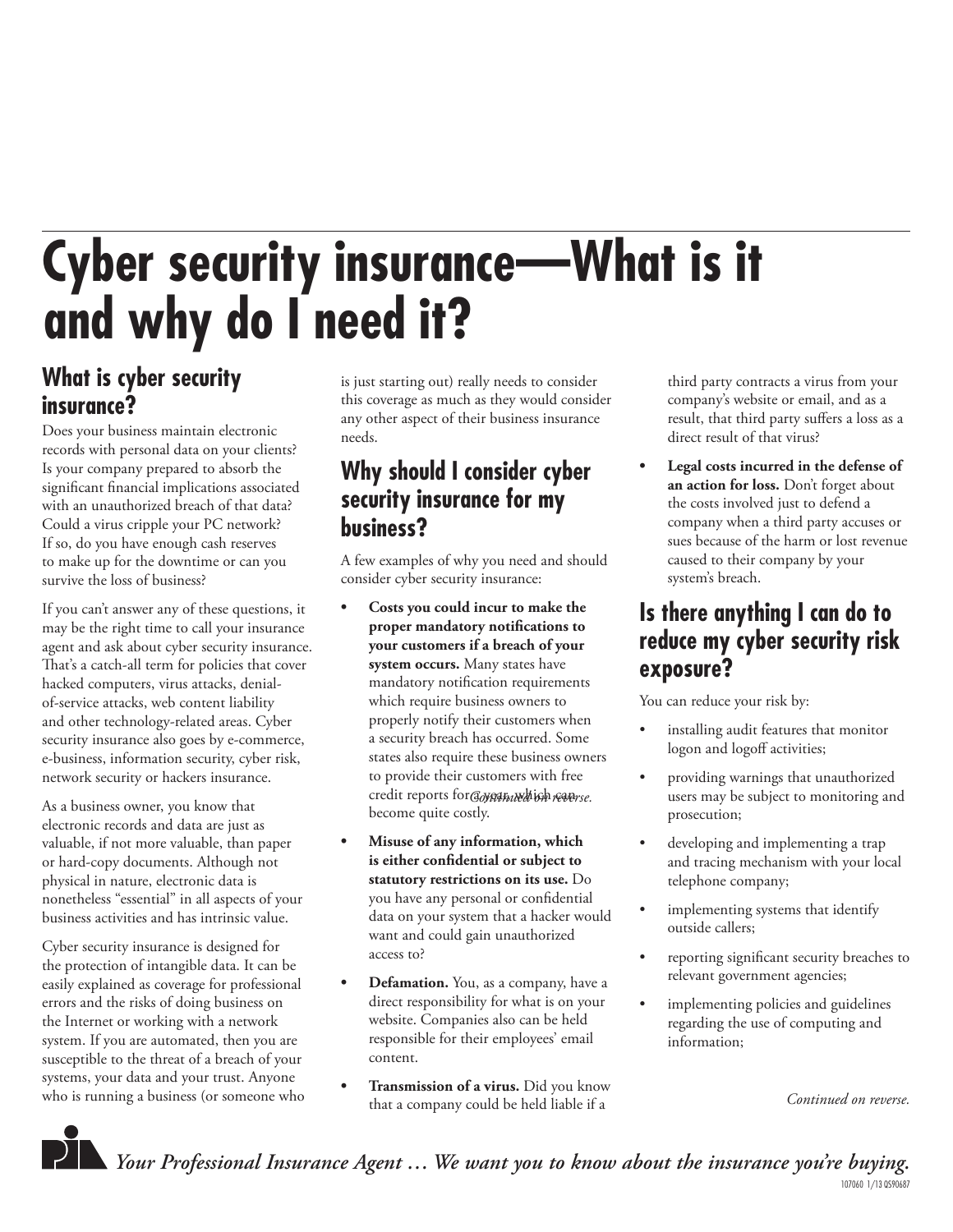# **Cyber security insurance—What is it and why do I need it?**

## **What is cyber security insurance?**

Does your business maintain electronic records with personal data on your clients? Is your company prepared to absorb the significant financial implications associated with an unauthorized breach of that data? Could a virus cripple your PC network? If so, do you have enough cash reserves to make up for the downtime or can you survive the loss of business?

If you can't answer any of these questions, it may be the right time to call your insurance agent and ask about cyber security insurance. That's a catch-all term for policies that cover hacked computers, virus attacks, denialof-service attacks, web content liability and other technology-related areas. Cyber security insurance also goes by e-commerce, e-business, information security, cyber risk, network security or hackers insurance.

As a business owner, you know that electronic records and data are just as valuable, if not more valuable, than paper or hard-copy documents. Although not physical in nature, electronic data is nonetheless "essential" in all aspects of your business activities and has intrinsic value.

Cyber security insurance is designed for the protection of intangible data. It can be easily explained as coverage for professional errors and the risks of doing business on the Internet or working with a network system. If you are automated, then you are susceptible to the threat of a breach of your systems, your data and your trust. Anyone who is running a business (or someone who is just starting out) really needs to consider this coverage as much as they would consider any other aspect of their business insurance needs.

#### **Why should I consider cyber security insurance for my business?**

A few examples of why you need and should consider cyber security insurance:

- **Costs you could incur to make the**  proper mandatory notifications to **your customers if a breach of your system occurs.** Many states have mandatory notification requirements which require business owners to properly notify their customers when a security breach has occurred. Some states also require these business owners to provide their customers with free credit reports for Goverthaled ish readerse. become quite costly.
- **Misuse of any information, which**  is either confidential or subject to **statutory restrictions on its use.** Do you have any personal or confidential data on your system that a hacker would want and could gain unauthorized access to?
- **Defamation.** You, as a company, have a direct responsibility for what is on your website. Companies also can be held responsible for their employees' email content.
- **Transmission of a virus.** Did you know that a company could be held liable if a

third party contracts a virus from your company's website or email, and as a result, that third party suffers a loss as a direct result of that virus?

**• Legal costs incurred in the defense of an action for loss.** Don't forget about the costs involved just to defend a company when a third party accuses or sues because of the harm or lost revenue caused to their company by your system's breach.

## **Is there anything I can do to reduce my cyber security risk exposure?**

You can reduce your risk by:

- installing audit features that monitor logon and logoff activities;
- providing warnings that unauthorized users may be subject to monitoring and prosecution;
- developing and implementing a trap and tracing mechanism with your local telephone company;
- implementing systems that identify outside callers;
- reporting significant security breaches to relevant government agencies;
- implementing policies and guidelines regarding the use of computing and information;

*Continued on reverse.*



*Your Professional Insurance Agent … We want you to know about the insurance you're buying.*